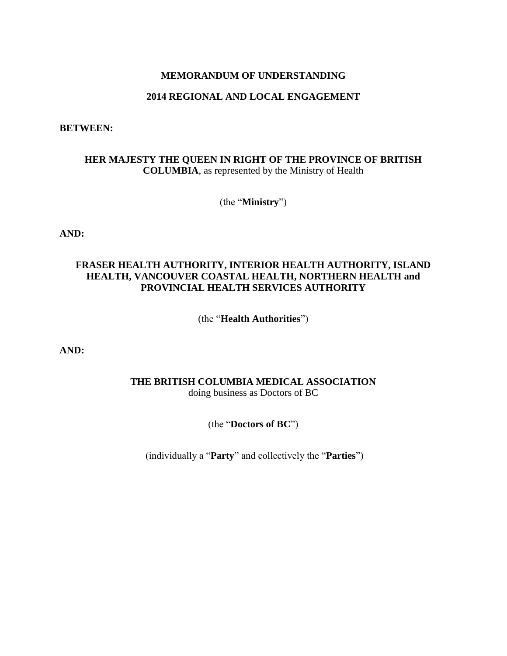### **MEMORANDUM OF UNDERSTANDING**

# **2014 REGIONAL AND LOCAL ENGAGEMENT**

#### **BETWEEN:**

## **HER MAJESTY THE QUEEN IN RIGHT OF THE PROVINCE OF BRITISH COLUMBIA**, as represented by the Ministry of Health

(the "**Ministry**")

**AND:**

### **FRASER HEALTH AUTHORITY, INTERIOR HEALTH AUTHORITY, ISLAND HEALTH, VANCOUVER COASTAL HEALTH, NORTHERN HEALTH and PROVINCIAL HEALTH SERVICES AUTHORITY**

(the "**Health Authorities**")

**AND:**

# **THE BRITISH COLUMBIA MEDICAL ASSOCIATION**

doing business as Doctors of BC

(the "**Doctors of BC**")

(individually a "**Party**" and collectively the "**Parties**")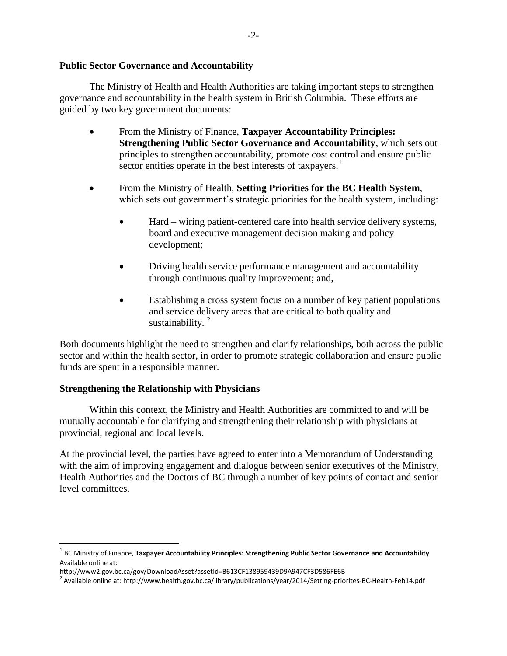### **Public Sector Governance and Accountability**

The Ministry of Health and Health Authorities are taking important steps to strengthen governance and accountability in the health system in British Columbia. These efforts are guided by two key government documents:

- From the Ministry of Finance, **Taxpayer Accountability Principles: Strengthening Public Sector Governance and Accountability**, which sets out principles to strengthen accountability, promote cost control and ensure public sector entities operate in the best interests of taxpayers.<sup>1</sup>
- From the Ministry of Health, **Setting Priorities for the BC Health System**, which sets out government's strategic priorities for the health system, including:
	- Hard wiring patient-centered care into health service delivery systems, board and executive management decision making and policy development;
	- Driving health service performance management and accountability through continuous quality improvement; and,
	- Establishing a cross system focus on a number of key patient populations and service delivery areas that are critical to both quality and sustainability. $2^2$

Both documents highlight the need to strengthen and clarify relationships, both across the public sector and within the health sector, in order to promote strategic collaboration and ensure public funds are spent in a responsible manner.

### **Strengthening the Relationship with Physicians**

 $\overline{a}$ 

Within this context, the Ministry and Health Authorities are committed to and will be mutually accountable for clarifying and strengthening their relationship with physicians at provincial, regional and local levels.

At the provincial level, the parties have agreed to enter into a Memorandum of Understanding with the aim of improving engagement and dialogue between senior executives of the Ministry, Health Authorities and the Doctors of BC through a number of key points of contact and senior level committees.

<sup>1</sup> BC Ministry of Finance, **Taxpayer Accountability Principles: Strengthening Public Sector Governance and Accountability** Available online at:

http://www2.gov.bc.ca/gov/DownloadAsset?assetId=B613CF138959439D9A947CF3D586FE6B

<sup>&</sup>lt;sup>2</sup> Available online at: http://www.health.gov.bc.ca/library/publications/year/2014/Setting-priorites-BC-Health-Feb14.pdf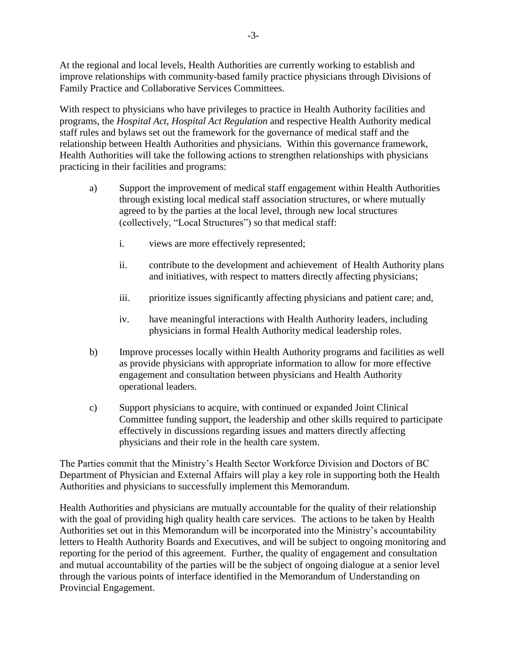At the regional and local levels, Health Authorities are currently working to establish and improve relationships with community-based family practice physicians through Divisions of Family Practice and Collaborative Services Committees.

With respect to physicians who have privileges to practice in Health Authority facilities and programs, the *Hospital Act*, *Hospital Act Regulation* and respective Health Authority medical staff rules and bylaws set out the framework for the governance of medical staff and the relationship between Health Authorities and physicians. Within this governance framework, Health Authorities will take the following actions to strengthen relationships with physicians practicing in their facilities and programs:

- a) Support the improvement of medical staff engagement within Health Authorities through existing local medical staff association structures, or where mutually agreed to by the parties at the local level, through new local structures (collectively, "Local Structures") so that medical staff:
	- i. views are more effectively represented;
	- ii. contribute to the development and achievement of Health Authority plans and initiatives, with respect to matters directly affecting physicians;
	- iii. prioritize issues significantly affecting physicians and patient care; and,
	- iv. have meaningful interactions with Health Authority leaders, including physicians in formal Health Authority medical leadership roles.
- b) Improve processes locally within Health Authority programs and facilities as well as provide physicians with appropriate information to allow for more effective engagement and consultation between physicians and Health Authority operational leaders.
- c) Support physicians to acquire, with continued or expanded Joint Clinical Committee funding support, the leadership and other skills required to participate effectively in discussions regarding issues and matters directly affecting physicians and their role in the health care system.

The Parties commit that the Ministry's Health Sector Workforce Division and Doctors of BC Department of Physician and External Affairs will play a key role in supporting both the Health Authorities and physicians to successfully implement this Memorandum.

Health Authorities and physicians are mutually accountable for the quality of their relationship with the goal of providing high quality health care services. The actions to be taken by Health Authorities set out in this Memorandum will be incorporated into the Ministry's accountability letters to Health Authority Boards and Executives, and will be subject to ongoing monitoring and reporting for the period of this agreement. Further, the quality of engagement and consultation and mutual accountability of the parties will be the subject of ongoing dialogue at a senior level through the various points of interface identified in the Memorandum of Understanding on Provincial Engagement.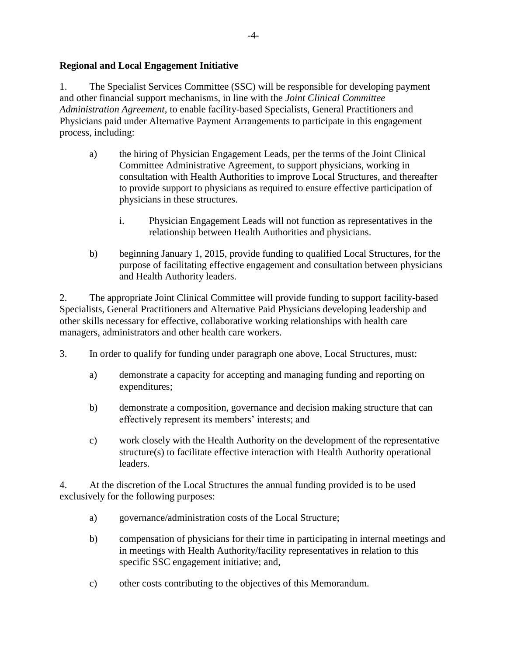# **Regional and Local Engagement Initiative**

1. The Specialist Services Committee (SSC) will be responsible for developing payment and other financial support mechanisms, in line with the *Joint Clinical Committee Administration Agreement*, to enable facility-based Specialists, General Practitioners and Physicians paid under Alternative Payment Arrangements to participate in this engagement process, including:

- a) the hiring of Physician Engagement Leads, per the terms of the Joint Clinical Committee Administrative Agreement, to support physicians, working in consultation with Health Authorities to improve Local Structures, and thereafter to provide support to physicians as required to ensure effective participation of physicians in these structures.
	- i. Physician Engagement Leads will not function as representatives in the relationship between Health Authorities and physicians.
- b) beginning January 1, 2015, provide funding to qualified Local Structures, for the purpose of facilitating effective engagement and consultation between physicians and Health Authority leaders.

2. The appropriate Joint Clinical Committee will provide funding to support facility-based Specialists, General Practitioners and Alternative Paid Physicians developing leadership and other skills necessary for effective, collaborative working relationships with health care managers, administrators and other health care workers.

- 3. In order to qualify for funding under paragraph one above, Local Structures, must:
	- a) demonstrate a capacity for accepting and managing funding and reporting on expenditures;
	- b) demonstrate a composition, governance and decision making structure that can effectively represent its members' interests; and
	- c) work closely with the Health Authority on the development of the representative structure(s) to facilitate effective interaction with Health Authority operational leaders.

4. At the discretion of the Local Structures the annual funding provided is to be used exclusively for the following purposes:

- a) governance/administration costs of the Local Structure;
- b) compensation of physicians for their time in participating in internal meetings and in meetings with Health Authority/facility representatives in relation to this specific SSC engagement initiative; and,
- c) other costs contributing to the objectives of this Memorandum.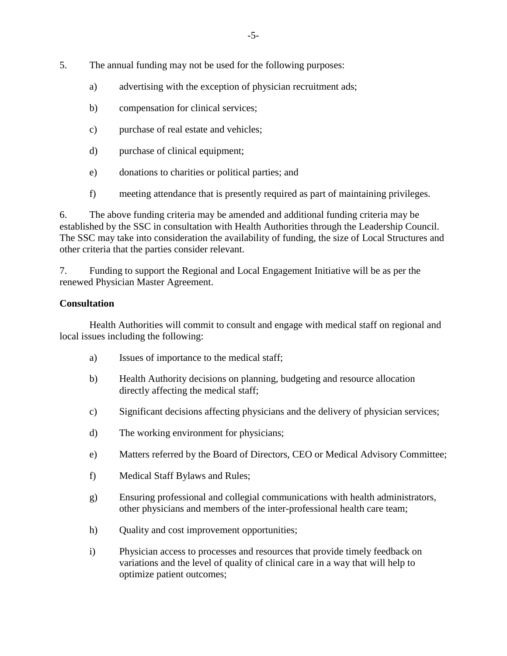- 5. The annual funding may not be used for the following purposes:
	- a) advertising with the exception of physician recruitment ads;
	- b) compensation for clinical services;
	- c) purchase of real estate and vehicles;
	- d) purchase of clinical equipment;
	- e) donations to charities or political parties; and
	- f) meeting attendance that is presently required as part of maintaining privileges.

6. The above funding criteria may be amended and additional funding criteria may be established by the SSC in consultation with Health Authorities through the Leadership Council. The SSC may take into consideration the availability of funding, the size of Local Structures and other criteria that the parties consider relevant.

7. Funding to support the Regional and Local Engagement Initiative will be as per the renewed Physician Master Agreement.

## **Consultation**

Health Authorities will commit to consult and engage with medical staff on regional and local issues including the following:

- a) Issues of importance to the medical staff;
- b) Health Authority decisions on planning, budgeting and resource allocation directly affecting the medical staff;
- c) Significant decisions affecting physicians and the delivery of physician services;
- d) The working environment for physicians;
- e) Matters referred by the Board of Directors, CEO or Medical Advisory Committee;
- f) Medical Staff Bylaws and Rules;
- g) Ensuring professional and collegial communications with health administrators, other physicians and members of the inter-professional health care team;
- h) Quality and cost improvement opportunities;
- i) Physician access to processes and resources that provide timely feedback on variations and the level of quality of clinical care in a way that will help to optimize patient outcomes;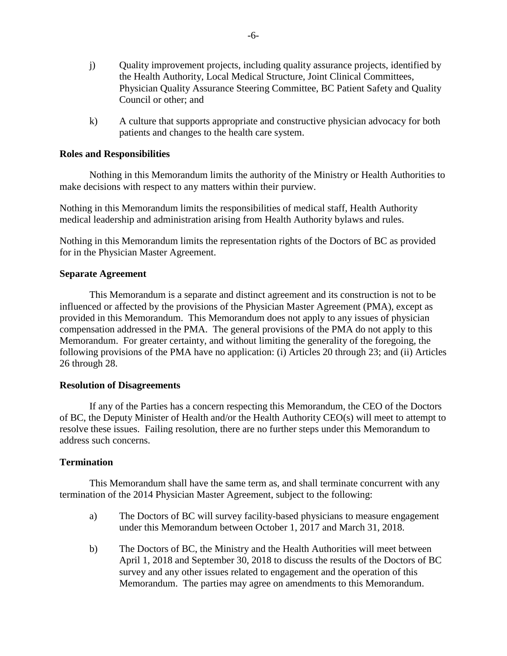- j) Quality improvement projects, including quality assurance projects, identified by the Health Authority, Local Medical Structure, Joint Clinical Committees, Physician Quality Assurance Steering Committee, BC Patient Safety and Quality Council or other; and
- k) A culture that supports appropriate and constructive physician advocacy for both patients and changes to the health care system.

#### **Roles and Responsibilities**

Nothing in this Memorandum limits the authority of the Ministry or Health Authorities to make decisions with respect to any matters within their purview.

Nothing in this Memorandum limits the responsibilities of medical staff, Health Authority medical leadership and administration arising from Health Authority bylaws and rules.

Nothing in this Memorandum limits the representation rights of the Doctors of BC as provided for in the Physician Master Agreement.

#### **Separate Agreement**

This Memorandum is a separate and distinct agreement and its construction is not to be influenced or affected by the provisions of the Physician Master Agreement (PMA), except as provided in this Memorandum. This Memorandum does not apply to any issues of physician compensation addressed in the PMA. The general provisions of the PMA do not apply to this Memorandum. For greater certainty, and without limiting the generality of the foregoing, the following provisions of the PMA have no application: (i) Articles 20 through 23; and (ii) Articles 26 through 28.

#### **Resolution of Disagreements**

If any of the Parties has a concern respecting this Memorandum, the CEO of the Doctors of BC, the Deputy Minister of Health and/or the Health Authority CEO(s) will meet to attempt to resolve these issues. Failing resolution, there are no further steps under this Memorandum to address such concerns.

### **Termination**

This Memorandum shall have the same term as, and shall terminate concurrent with any termination of the 2014 Physician Master Agreement, subject to the following:

- a) The Doctors of BC will survey facility-based physicians to measure engagement under this Memorandum between October 1, 2017 and March 31, 2018.
- b) The Doctors of BC, the Ministry and the Health Authorities will meet between April 1, 2018 and September 30, 2018 to discuss the results of the Doctors of BC survey and any other issues related to engagement and the operation of this Memorandum. The parties may agree on amendments to this Memorandum.